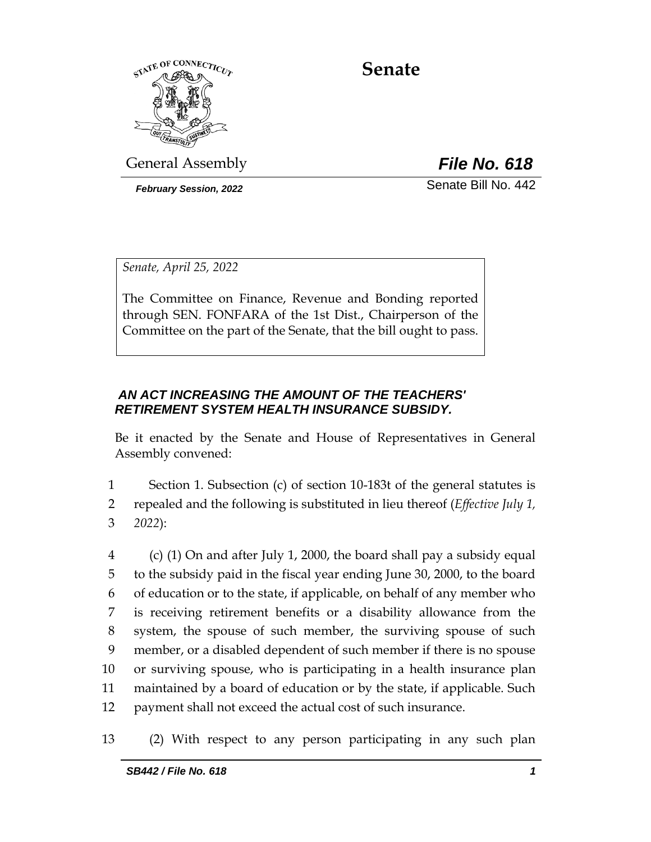

**Senate**

General Assembly *File No. 618*

*February Session, 2022* Senate Bill No. 442

*Senate, April 25, 2022*

The Committee on Finance, Revenue and Bonding reported through SEN. FONFARA of the 1st Dist., Chairperson of the Committee on the part of the Senate, that the bill ought to pass.

## *AN ACT INCREASING THE AMOUNT OF THE TEACHERS' RETIREMENT SYSTEM HEALTH INSURANCE SUBSIDY.*

Be it enacted by the Senate and House of Representatives in General Assembly convened:

1 Section 1. Subsection (c) of section 10-183t of the general statutes is 2 repealed and the following is substituted in lieu thereof (*Effective July 1,*  3 *2022*):

 (c) (1) On and after July 1, 2000, the board shall pay a subsidy equal to the subsidy paid in the fiscal year ending June 30, 2000, to the board of education or to the state, if applicable, on behalf of any member who is receiving retirement benefits or a disability allowance from the system, the spouse of such member, the surviving spouse of such member, or a disabled dependent of such member if there is no spouse or surviving spouse, who is participating in a health insurance plan maintained by a board of education or by the state, if applicable. Such payment shall not exceed the actual cost of such insurance.

13 (2) With respect to any person participating in any such plan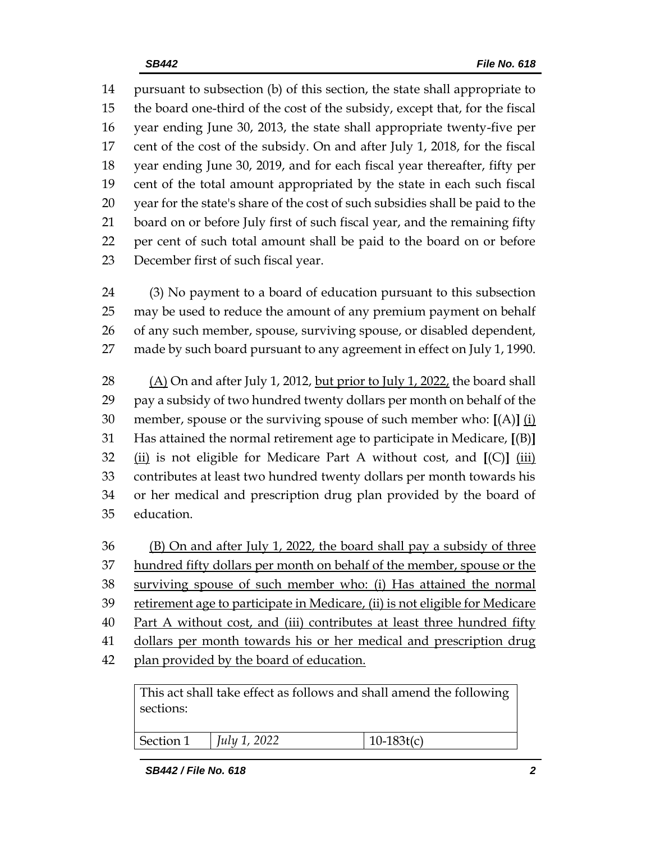pursuant to subsection (b) of this section, the state shall appropriate to the board one-third of the cost of the subsidy, except that, for the fiscal year ending June 30, 2013, the state shall appropriate twenty-five per cent of the cost of the subsidy. On and after July 1, 2018, for the fiscal year ending June 30, 2019, and for each fiscal year thereafter, fifty per cent of the total amount appropriated by the state in each such fiscal year for the state's share of the cost of such subsidies shall be paid to the board on or before July first of such fiscal year, and the remaining fifty per cent of such total amount shall be paid to the board on or before December first of such fiscal year.

 (3) No payment to a board of education pursuant to this subsection may be used to reduce the amount of any premium payment on behalf of any such member, spouse, surviving spouse, or disabled dependent, made by such board pursuant to any agreement in effect on July 1, 1990.

 (A) On and after July 1, 2012, but prior to July 1, 2022, the board shall pay a subsidy of two hundred twenty dollars per month on behalf of the member, spouse or the surviving spouse of such member who: **[**(A)**]** (i) Has attained the normal retirement age to participate in Medicare, **[**(B)**]** (ii) is not eligible for Medicare Part A without cost, and **[**(C)**]** (iii) contributes at least two hundred twenty dollars per month towards his or her medical and prescription drug plan provided by the board of education.

 (B) On and after July 1, 2022, the board shall pay a subsidy of three 37 hundred fifty dollars per month on behalf of the member, spouse or the surviving spouse of such member who: (i) Has attained the normal retirement age to participate in Medicare, (ii) is not eligible for Medicare Part A without cost, and (iii) contributes at least three hundred fifty dollars per month towards his or her medical and prescription drug 42 plan provided by the board of education.

This act shall take effect as follows and shall amend the following sections:

| Section 1 | ാറാ<br>$I_1, I_2, 1$<br>1111,<br>LULL |  |
|-----------|---------------------------------------|--|
|           |                                       |  |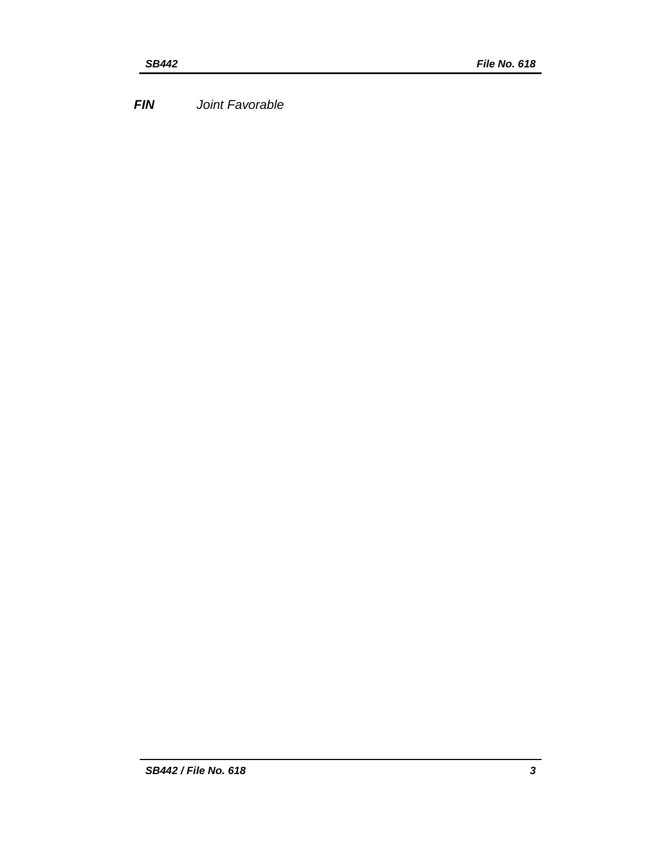*FIN Joint Favorable*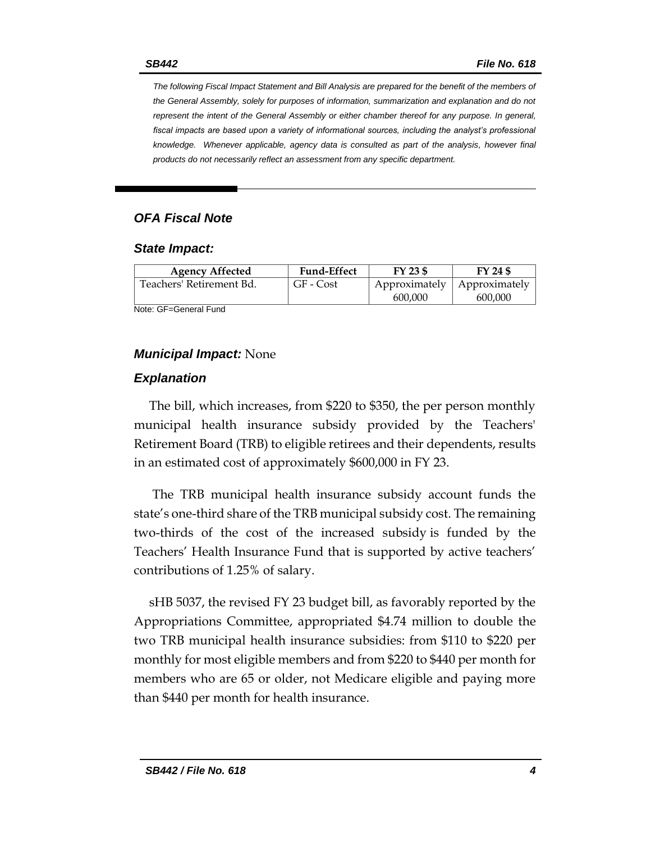*The following Fiscal Impact Statement and Bill Analysis are prepared for the benefit of the members of the General Assembly, solely for purposes of information, summarization and explanation and do not represent the intent of the General Assembly or either chamber thereof for any purpose. In general,*  fiscal impacts are based upon a variety of informational sources, including the analyst's professional *knowledge. Whenever applicable, agency data is consulted as part of the analysis, however final products do not necessarily reflect an assessment from any specific department.*

### *OFA Fiscal Note*

#### *State Impact:*

| <b>Agency Affected</b>   | <b>Fund-Effect</b> | FY 23 \$      | FY 24 \$      |
|--------------------------|--------------------|---------------|---------------|
| Teachers' Retirement Bd. | GF - Cost          | Approximately | Approximately |
|                          |                    | 600,000       | 600.000       |

Note: GF=General Fund

### *Municipal Impact:* None

#### *Explanation*

The bill, which increases, from \$220 to \$350, the per person monthly municipal health insurance subsidy provided by the Teachers' Retirement Board (TRB) to eligible retirees and their dependents, results in an estimated cost of approximately \$600,000 in FY 23.

The TRB municipal health insurance subsidy account funds the state's one-third share of the TRB municipal subsidy cost. The remaining two-thirds of the cost of the increased subsidy is funded by the Teachers' Health Insurance Fund that is supported by active teachers' contributions of 1.25% of salary.

sHB 5037, the revised FY 23 budget bill, as favorably reported by the Appropriations Committee, appropriated \$4.74 million to double the two TRB municipal health insurance subsidies: from \$110 to \$220 per monthly for most eligible members and from \$220 to \$440 per month for members who are 65 or older, not Medicare eligible and paying more than \$440 per month for health insurance.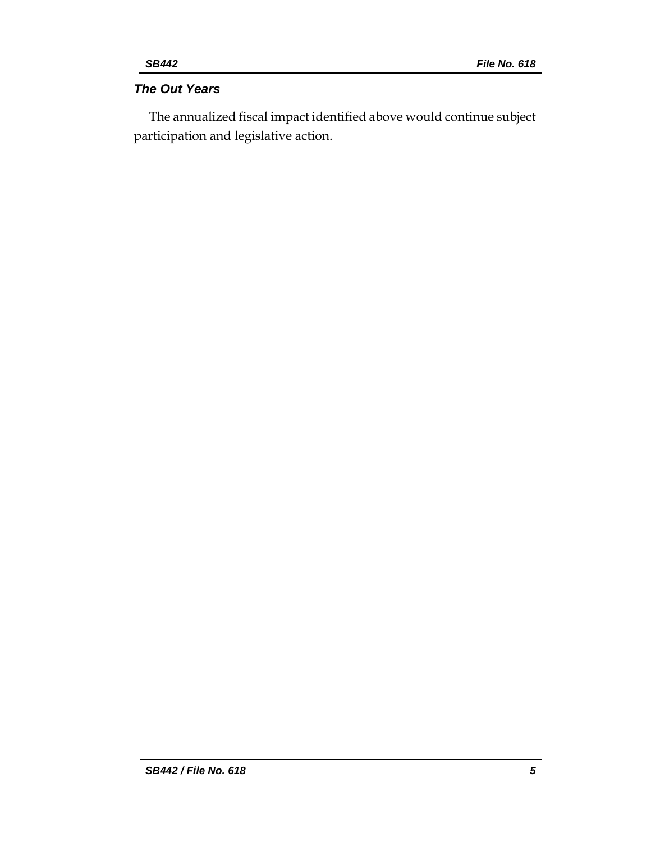# *The Out Years*

The annualized fiscal impact identified above would continue subject participation and legislative action.